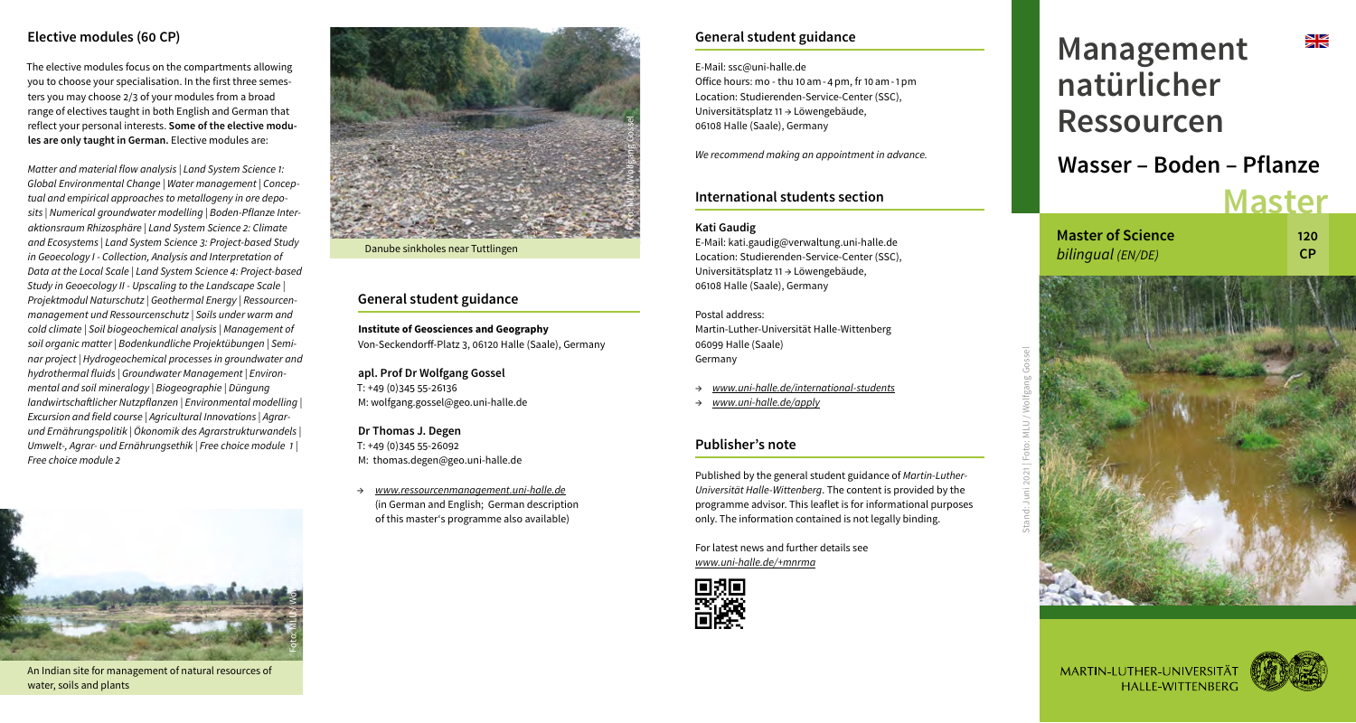# **Elective modules (60 CP)**

The elective modules focus on the compartments allowing you to choose your specialisation. In the first three semesters you may choose 2/3 of your modules from a broad range of electives taught in both English and German that reflect your personal interests. **Some of the elective modules are only taught in German.** Elective modules are:

*Matter and material flow analysis | Land System Science 1: Global Environmental Change | Water management | Conceptual and empirical approaches to metallogeny in ore deposits | Numerical groundwater modelling | Boden-Pflanze Interaktionsraum Rhizosphäre | Land System Science 2: Climate and Ecosystems | Land System Science 3: Project-based Study in Geoecology I - Collection, Analysis and Interpretation of Data at the Local Scale | Land System Science 4: Project-based Study in Geoecology II - Upscaling to the Landscape Scale | Projektmodul Naturschutz | Geothermal Energy | Ressourcenmanagement und Ressourcenschutz | Soils under warm and cold climate | Soil biogeochemical analysis | Management of soil organic matter | Bodenkundliche Projektübungen | Seminar project | Hydrogeochemical processes in groundwater and hydrothermal fluids | Groundwater Management | Environmental and soil mineralogy | Biogeographie | Düngung landwirtschaftlicher Nutzpflanzen | Environmental modelling | Excursion and field course | Agricultural Innovations | Agrarund Ernährungspolitik | Ökonomik des Agrarstrukturwandels | Umwelt-, Agrar- und Ernährungsethik | Free choice module 1 | Free choice module 2* 



An Indian site for management of natural resources of water, soils and plants



Danube sinkholes near Tuttlingen

#### **General student guidance**

**Institute of Geosciences and Geography** Von-Seckendorff-Platz 3, 06120 Halle (Saale), Germany

#### **apl. Prof Dr Wolfgang Gossel**  T: +49 (0)345 55-26136 M: wolfgang.gossel@geo.uni-halle.de

# **Dr Thomas J. Degen**

T: +49 (0)345 55-26092 M: thomas.degen@geo.uni-halle.de

→ *www.ressourcenmanagement.uni-halle.de* (in German and English; German description of this master's programme also available)

# **General student guidance**

E-Mail: ssc@uni-halle.de Office hours: mo - thu 10am-4pm, fr 10am-1pm Location: Studierenden-Service-Center (SSC), Universitätsplatz 11 → Löwengebäude, 06108 Halle (Saale), Germany

*We recommend making an appointment in advance.*

# **International students section**

#### **Kati Gaudig**

E-Mail: kati.gaudig@verwaltung.uni-halle.de Location: Studierenden-Service-Center (SSC), Universitätsplatz 11 → Löwengebäude, 06108 Halle (Saale), Germany

Postal address: Martin-Luther-Universität Halle-Wittenberg 06099 Halle (Saale) Germany

- → *www.uni-halle.de/international-students*
- → *www.uni-halle.de/apply*

# **Publisher's note**

Published by the general student guidance of *Martin-Luther-Universität Halle-Wittenberg*. The content is provided by the programme advisor. This leaflet is for informational purposes only. The information contained is not legally binding.

For latest news and further details see *www.uni-halle.de/+mnrma*



# ≫l⊠<br>∑i **Management natürlicher Ressourcen Wasser – Boden – Pflanze Master**

**Master of Science** *bilingual (EN/DE)*

Stand: Juni 2021 | Foto: MLU / Wolfgang Gossel